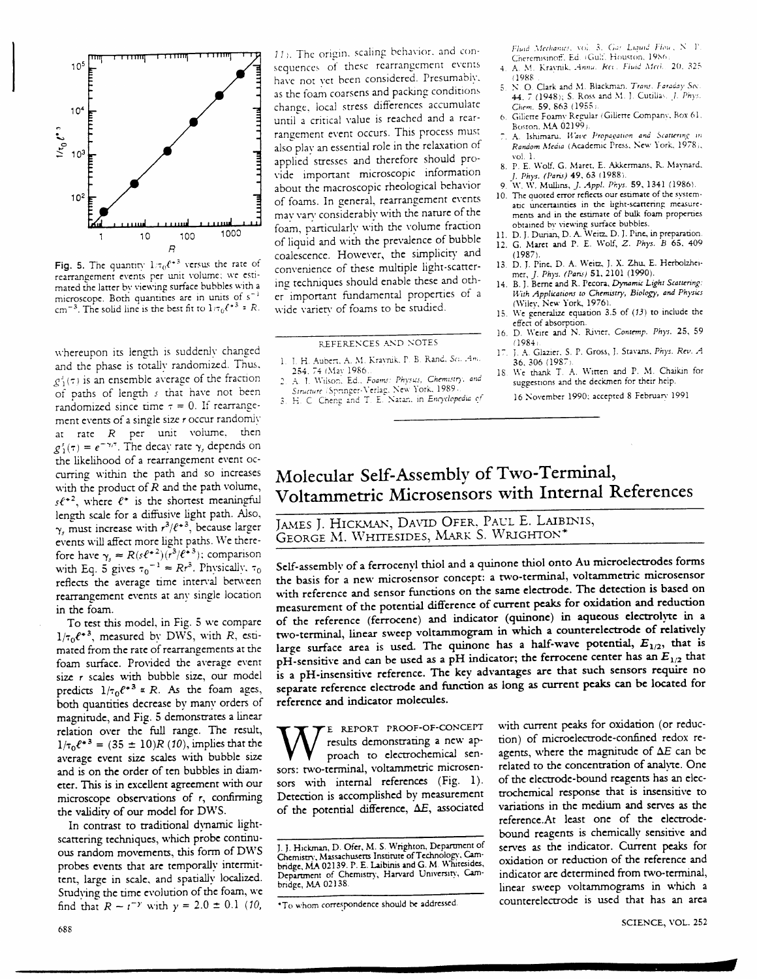

Fig. 5. The quantity  $1/\tau_0 \ell^{*3}$  versus the rate of rearrangement events per unit volume; we estimated the latter by viewing surface bubbles with a microscope. Both quantities are in units of s<sup>-1</sup> cm<sup>-3</sup>. The solid line is the best fit to  $1/\tau_0 \ell^{*3} \approx R$ .

whereupon its length is suddenly changed and the phase is totally randomized. Thus,  $g_1^s(\tau)$  is an ensemble average of the fraction of paths of length s that have not been randomized since time  $\tau = 0$ . If rearrangement events of a single size r occur randomly at rate  $R$  per unit volume, then  $g_1^s(\tau) = e^{-\gamma/\tau}$ . The decay rate  $\gamma_s$  depends on the likelihood of a rearrangement event occurring within the path and so increases with the product of  $R$  and the path volume,  $s\ell^{*2}$ , where  $\ell^*$  is the shortest meaningful length scale for a diffusive light path. Also,  $\gamma$ , must increase with  $r^3/\ell^{*3}$ , because larger events will affect more light paths. We therefore have  $\gamma_s \approx R(s\ell^{*2}) (\overline{r^3/\ell^{*3}})$ ; comparison<br>with Eq. 5 gives  $\tau_0^{-1} \approx Rr^3$ . Physically,  $\tau_0$ reflects the average time interval between rearrangement events at any single location in the foam.

To test this model, in Fig. 5 we compare  $1/\tau_0 e^{*3}$ , measured by DWS, with R, estimated from the rate of rearrangements at the foam surface. Provided the average event size r scales with bubble size, our model predicts  $1/\tau_0 e^{+3} \propto R$ . As the foam ages, both quantities decrease by many orders of magnitude, and Fig. 5 demonstrates a linear relation over the full range. The result,  $1/\tau_0 \ell^{*3} = (35 \pm 10)R(10)$ , implies that the average event size scales with bubble size and is on the order of ten bubbles in diameter. This is in excellent agreement with our microscope observations of  $r$ , confirming the validity of our model for DWS.

In contrast to traditional dynamic lightscattering techniques, which probe continuous random movements, this form of DWS probes events that are temporally intermittent, large in scale, and spatially localized. Studying the time evolution of the foam, we find that  $R \sim t^{-\gamma}$  with  $\gamma = 2.0 \pm 0.1$  (10,

11). The origin, scaling behavior, and consequences of these rearrangement events have not yet been considered. Presumably, as the foam coarsens and packing conditions change, local stress differences accumulate until a critical value is reached and a rearrangement event occurs. This process must also play an essential role in the relaxation of applied stresses and therefore should provide important microscopic information about the macroscopic rheological behavior of foams. In general, rearrangement events may vary considerably with the nature of the foam, particularly with the volume fraction of liquid and with the prevalence of bubble coalescence. However, the simplicity and convenience of these multiple light-scattering techniques should enable these and other important fundamental properties of a wide variety of foams to be studied.

REFERENCES AND NOTES

- 1. J. H. Aubert, A. M. Kraynik, P. B. Rand, Sci. Am. 254, 74 (May 1986)
- $\overline{2}$ A. I. Wilson, Ed., Foams: Physics, Chemistry, and Structure (Springer-Verlag, New York, 1989).<br>
3. H. C. Cheng and T. E. Natan, in Encyclopedia of
- 

Fluid Mechanics, vol. 3, Gas Liquid Flow, N. P.<br>Cheremisinoff, Ed. (Gulf, Houston, 1986)

- 4. A. M. Kraynik, Annu. Rei. Fluid Med., 20, 325  $(1988)$
- N. O. Clark and M. Blackman. Trans. Faraday Soc.<br>44, 7 (1948); S. Ross and M. J. Cutillas. J. Phys.  $\overline{5}$ Chem. 59, 863 (1955).
- Giliette Foamy Regular (Gillette Company, Box 61, Boston, MA 02199)
- A. Ishimaru, Wave Propagation and Scattering in Random Media (Academic Press, New York, 1978), vol. 1.
- 8. P. E. Wolf, G. Maret, E. Akkermans, R. Maynard, J. Phys. (Paris) 49, 63 (1988).
- 9 W. W. Mullins, J. Appl. Phys. 59, 1341 (1986). 10. The quoted error reflects our estimate of the system-
- atic uncertainties in the light-scattering measurements and in the estimate of bulk foam properties obtained by viewing surface bubbles.<br>11. D. J. Durian, D. A. Weitz, D. J. Pine, in preparation
- 12. G. Maret and P. E. Wolf, Z. Phys. B 65, 409  $(1987$
- 13. D. J. Pine, D. A. Weitz, J. X. Zhu, E. Herbolzheimer, J. Phys. (Paris) 51, 2101 (1990).
- $14$ B. J. Berne and R. Pecora, Dynamic Light Scattering: With Applications to Chemistry, Biology, and Physics (Wiley, New York, 1976).
- We generalize equation 3.5 of  $(13)$  to include the 15 effect of absorption.
- 16. D. Weire and N. Rivier, Contemp. Phys. 25, 59  $(1984)$
- J. A. Glazier, S. P. Gross, J. Stavans, Phys. Rev. A 36, 306 (1987).
- We thank T. A. Witten and P. M. Chaikin for 18 suggestions and the deckmen for their help. 16 November 1990; accepted 8 February 1991

## Molecular Self-Assembly of Two-Terminal, Voltammetric Microsensors with Internal References

JAMES J. HICKMAN, DAVID OFER, PAUL E. LAIBINIS, GEORGE M. WHITESIDES, MARK S. WRIGHTON\*

Self-assembly of a ferrocenyl thiol and a quinone thiol onto Au microelectrodes forms the basis for a new microsensor concept: a two-terminal, voltammetric microsensor with reference and sensor functions on the same electrode. The detection is based on measurement of the potential difference of current peaks for oxidation and reduction of the reference (ferrocene) and indicator (quinone) in aqueous electrolyte in a two-terminal, linear sweep voltammogram in which a counterelectrode of relatively large surface area is used. The quinone has a half-wave potential,  $E_{1/2}$ , that is pH-sensitive and can be used as a pH indicator; the ferrocene center has an  $E_{1/2}$  that is a pH-insensitive reference. The key advantages are that such sensors require no separate reference electrode and function as long as current peaks can be located for reference and indicator molecules.

E REPORT PROOF-OF-CONCEPT results demonstrating a new approach to electrochemical sensors: two-terminal, voltammetric microsensors with internal references (Fig. 1). Detection is accomplished by measurement of the potential difference, AE, associated

with current peaks for oxidation (or reduction) of microelectrode-confined redox reagents, where the magnitude of  $\Delta E$  can be related to the concentration of analyte. One of the electrode-bound reagents has an electrochemical response that is insensitive to variations in the medium and serves as the reference.At least one of the electrodebound reagents is chemically sensitive and serves as the indicator. Current peaks for oxidation or reduction of the reference and indicator are determined from two-terminal, linear sweep voltammograms in which a counterelectrode is used that has an area

J. J. Hickman, D. Ofer, M. S. Wrighton, Department of Chemistry, Massachusetts Institute of Technology, Cam-<br>bridge, MA 02139. P. E. Laibinis and G. M. Whitesides, Department of Chemistry, Harvard University, Cambridge, MA 02138

<sup>\*</sup>To whom correspondence should be addressed.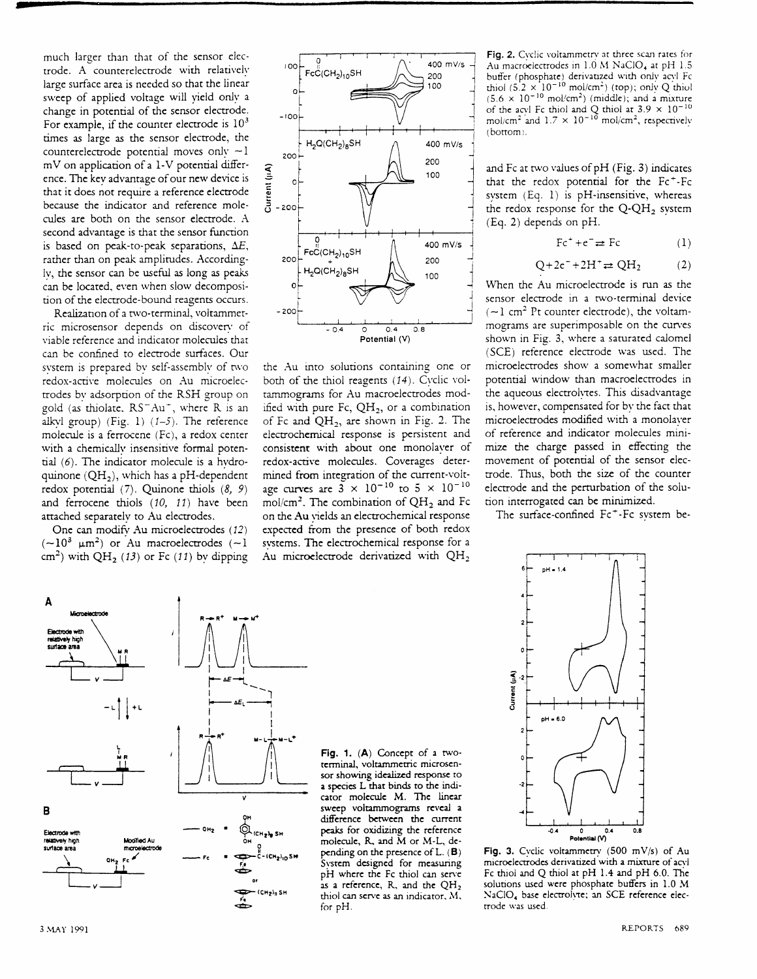much larger than that of the scnsor electrode. A counterelectrode with relatively large surface area is needed so that the linear sweep of applied voltage will yield only a change in potential of the sensor electrode. For example, if the counter electrode is  $10<sup>3</sup>$ times as large as the sensor electrode, the counterelectrode potential moves only  $\sim$  I  $mV$  on application of a 1-V potential difference. The kev advantage of our new device is that it does not require a reference electrode because the indicator and reference molecules are both on the sensor elecrode. A second advantage is that the sensor function is based on peak-to-peak separations,  $\Delta E$ , rather than on peak amplitudes. Accordinglv, the sensor can be useful as long as peaks can be located, even when slow decomposition of the electrode-bound reagents occurs.

Realization of a two-terminal, voltammetric microsensor depends on discoven' of viable reference and indicator moiecules that can be confned to elecrode surfaces. Our svstem is prepared by self-assembly of two redox-active molecules on Au microelectrodes bv adsorption of the RSH group on gold (as thiolate,  $RS^-Au^+$ , where R is an alkvl group) (Fig. 1)  $(1-5)$ . The reference molecule is a ferrocene (Fc), a redox cenrer with a chemically insensitive formal potential  $(6)$ . The indicator molecule is a hydroquinone  $(QH_2)$ , which has a pH-dependent redox potential  $(7)$ . Quinone thiols  $(8, 9)$ and ferrocene thiols (10, 11) have been attached separately to Au electrodes.

One can modify Au microelectrodes (12)  $(-10^3 \mu m^2)$  or Au macroelectrodes (~1 cm<sup>2</sup>) with QH<sub>2</sub> (13) or Fc (11) by dipping

R→R<sup>+</sup> u→



the Au into solutions containing one or both of the thiol reagents (14). Cyclic voltammograms for Au macroelectrodes modified with pure Fc,  $QH_2$ , or a combination of Fc and  $QH_2$ , are shown in Fig. 2. The electrochemical response is persistent and consistent with about one monolaver of redox-active molecules. Coverages determined from inregrarion of the current-voltage curves are  $3 \times 10^{-10}$  to  $5 \times 10^{-10}$ mol/cm<sup>2</sup>. The combination of  $QH_2$  and Fc on the Au vields an electrochemical response expected from the presence of both redox svstems. Thc elecrochcmical response for a Au microelectrode derivatized with  $QH_2$ 

Fig. 2. Cyclic voltammetry at three scan rates for Au macroelectrodes in 1.0 M NaClO<sub>4</sub> at pH 1.5 buffer (phosphate) derivatized with only acvl Fc thiol  $(5.2 \times 10^{-10} \text{ mol/cm}^2)$  (top); only Q thiol  $(5.6 \times 10^{-10} \text{ mol/cm}^2)$  (middle); and a mixture of the acyl Fc thiol and Q thiol at  $3.9 \times 10^{-10}$ <br>mol/cm<sup>2</sup> and  $1.7 \times 10^{-10}$  mol/cm<sup>2</sup>, respectively  $(botiom)$ .

and Fc ar rwo values of pH (Fig. 3) indicares that the redox potential for the Fc<sup>+</sup>-Fc system  $(Eq. 1)$  is pH-insensitive, whereas the redox response for the  $Q-QH<sub>2</sub>$  system (Eg. 2) depends on pH.

$$
\text{Fc}^+ + \text{c}^- \rightleftharpoons \text{Fc} \tag{1}
$$

$$
Q + 2e^- + 2H^+ \rightleftharpoons QH_2 \tag{2}
$$

When the Au microelectrode is run as the sensor electrode in a two-terminal device  $(-1$  cm<sup>2</sup> Pt counter electrode), the voltammograms are superimposable on the curves shown in Fig. 3, where a saturated calomel (SCE) reference electrode was used. The microelectrodes show a somewhat smaller potential window than macroelectrodes in the aqueous electrolytes. This disadvantage is, however, compensated for bv the fact that microelectrodes modified with a monolaver of reference and indicator molecules minimize the charge passed in effecting the movement of potential of the sensor elecuode. Thus, both the sizc of the countcr electrode and the perturbation of the solucion interrogated can bc minimized.

The surface-confined Fc<sup>+</sup>-Fc svstem be-

Fig. 1. (A) Concept of a twotcrminal, voltammctric microscnsor showing idealized response to a spccics L that binds to thc indicator moleculc M. The lincar sweep voltammograms reveal a difference between the currenr pcaks for oxidizing the reference molecule, R. and M or M-L, depending on the presence of L. (B) System designed for measuring pH where the Fc thiol can serve as a reference, R, and the  $QH_2$ thiol can serve as an indicator,  $M$ , for pH.



Fig. 3. Cyclic voltammetry  $(500 \text{ mV/s})$  of Au microelectrodes derivatized with a mixture of acvi Fc thiol and Q thiol at pH 1.4 and pH 6.0. The solutions used were phosphate buffers in 1.0 M NaClO<sub>4</sub> base electrolyte; an SCE reference electrode was used.



A

Electrode with relatively high

Microelectroc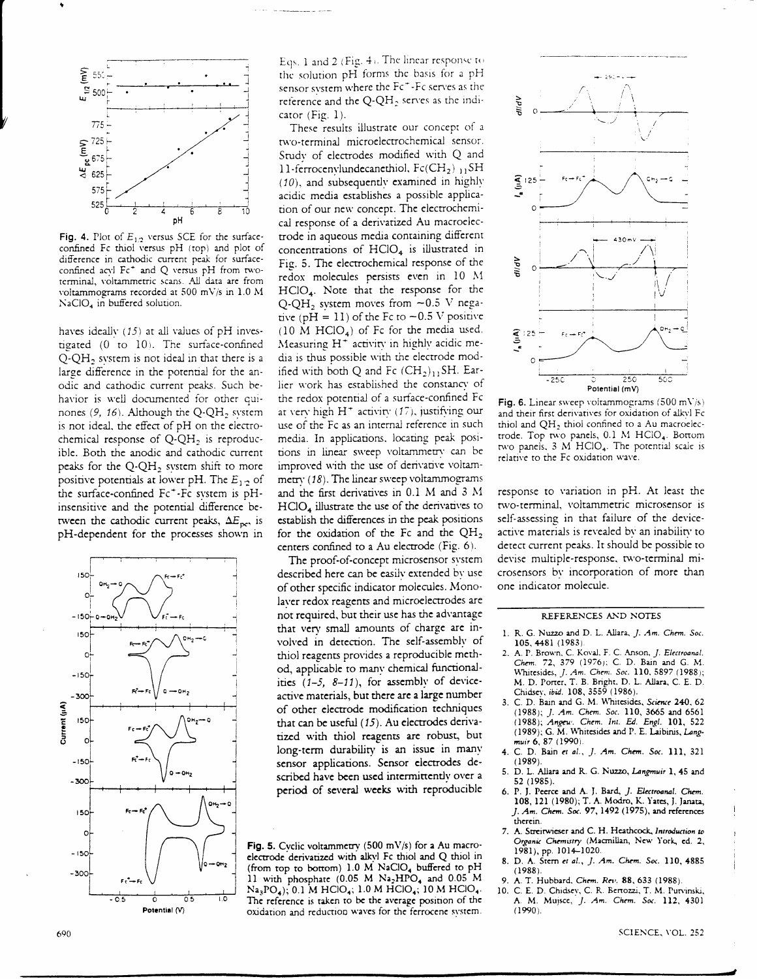

Fig. 4. Plot of  $E_{1,2}$  versus SCE for the surfaceconfined Fc thiol versus pH (top) and plot of difference in cathodic current peak for surfaceconfined acyl Fc<sup>+</sup> and Q versus pH from twoterminal, voltammetric scans. All data are from voltammograms recorded at 500 mV/s in 1.0 M  $NaClO<sub>4</sub>$  in buffered solution.

haves ideally  $(15)$  at all values of pH investigated (0 to 10). The surface-confined  $Q-QH_2$  system is not ideal in that there is a large difference in the potential for the anodic and cathodic current peaks. Such behavior is well documented for other quinones (9, 16). Although the  $Q-QH_2$  system is not ideal, the effect of pH on the electrochemical response of  $Q-QH_2$  is reproducible. Both the anodic and cathodic current peaks for the  $Q-QH<sub>2</sub>$  system shift to more positive potentials at lower pH. The  $E_{1,2}$  of the surface-confined Fc<sup>+</sup>-Fc system is pHinsensitive and the potential difference between the cathodic current peaks,  $\Delta E_{\text{pc}}$ , is pH-dependent for the processes shown in



Eqs. 1 and 2 (Fig. 4). The linear response to the solution pH forms the basis for a pH sensor system where the Fc<sup>+</sup>-Fc serves as the reference and the  $Q-QH_2$  serves as the indicator (Fig. 1).

These results illustrate our concept of a two-terminal microelectrochemical sensor. Study of electrodes modified with Q and 11-ferrocenvlundecanethiol,  $Fc(CH_2)_{11}SH$  $(10)$ , and subsequently examined in highly acidic media establishes a possible application of our new concept. The electrochemical response of a derivatized Au macroelectrode in aqueous media containing different concentrations of  $HClO<sub>4</sub>$  is illustrated in Fig. 5. The electrochemical response of the redox molecules persists even in 10 M  $HClO<sub>4</sub>$ . Note that the response for the  $O-OH<sub>2</sub>$  system moves from  $-0.5$  V negative (pH = 11) of the Fc to  $-0.5$  V positive  $(10 \text{ M } HClO<sub>4</sub>)$  of Fc for the media used. Measuring H<sup>+</sup> activity in highly acidic media is thus possible with the electrode modified with both Q and Fc  $(CH_2)_{11}SH$ . Earlier work has established the constancy of the redox potential of a surface-confined Fc at very high  $H^+$  activity (17), justifying our use of the Fc as an internal reference in such media. In applications, locating peak positions in linear sweep voltammetry can be improved with the use of derivative voltammetry (18). The linear sweep voltammograms and the first derivatives in 0.1 M and 3 M HClO<sub>4</sub> illustrate the use of the derivatives to establish the differences in the peak positions for the oxidation of the Fc and the  $QH_2$ centers confined to a Au electrode (Fig. 6).

The proof-of-concept microsensor system described here can be easily extended by use of other specific indicator molecules. Monolaver redox reagents and microelectrodes are not required, but their use has the advantage that very small amounts of charge are involved in detection. The self-assembly of thiol reagents provides a reproducible method, applicable to many chemical functionalities  $(1-5, 8-11)$ , for assembly of deviceactive materials, but there are a large number of other electrode modification techniques that can be useful (15). Au electrodes derivatized with thiol reagents are robust, but long-term durability is an issue in many sensor applications. Sensor electrodes described have been used intermittently over a period of several weeks with reproducible

Fig. 5. Cvclic voltammetry (500 mV/s) for a Au macroelectrode derivatized with alkyl Fc thiol and Q thiol in (from top to bottom) 1.0 M NaClO<sub>4</sub> buffered to pH 11 with phosphate (0.05 M Na2HPO4 and 0.05 M  $Na_3PO_4$ ), 0.1 M HClO<sub>4</sub>, 1.0 M HClO<sub>4</sub>, 10 M HClO<sub>4</sub>. The reference is taken to be the average position of the oxidation and reduction waves for the ferrocene system.



Fig. 6. Linear sweep voltammograms (500 mV/s) and their first derivatives for oxidation of alkyl Fc thiol and QH<sub>2</sub> thiol confined to a Au macroelectrode. Top two panels, 0.1 M HClO<sub>4</sub>. Bottom two panels, 3 M HClO<sub>4</sub>. The potential scale is relative to the Fc oxidation wave.

response to variation in pH. At least the two-terminal, voltammetric microsensor is self-assessing in that failure of the deviceactive materials is revealed by an inability to detect current peaks. It should be possible to devise multiple-response, two-terminal microsensors by incorporation of more than one indicator molecule.

## REFERENCES AND NOTES

- 1. R. G. Nuzzo and D. L. Allara, J. Am. Chem. Soc. 105, 4481 (1983)
- 2. A. P. Brown, C. Koval, F. C. Anson, J. Electroanal. Chem. 72, 379 (1976); C. D. Bain and G. M. Whitesides, J. Am. Chem. Soc. 110, 5897 (1988); M. D. Porter, T. B. Bright, D. L. Allara, C. E. D. Chidsev, ibid. 108, 3559 (1986).
- 3. C. D. Bain and G. M. Whitesides, Science 240, 62 (1988); J. Am. Chem. Soc. 110, 3665 and 6561 (1988); Angew. Chem. Int. Ed. Engl. 101, 522 (1989); G. M. Whitesides and P. E. Laibinis, Langmuir 6, 87 (1990)
- 4. C. D. Bain et al., J. Am. Chem. Soc. 111, 321  $(1989)$
- 5. D. L. Aliara and R. G. Nuzzo, Langmuir 1, 45 and 52 (1985).
- 6. P. J. Peerce and A. J. Bard, J. Electroanal. Chem.<br>108, 121 (1980); T. A. Modro, K. Yates, J. Janata, J. Am. Chem. Soc. 97, 1492 (1975), and references therein
- 7. A. Streitwieser and C. H. Heathcock, Introduction to Organic Chemistry (Macmillan, New York, ed. 2, 1981), pp. 1014-1020.
- 8. D. A. Stern et al., J. Am. Chem. Soc. 110, 4885  $(1988)$
- 9. A. T. Hubbard, Chem. Rev. 88, 633 (1988).
- C. E. D. Chidsey, C. R. Bertozzi, T. M. Putvinski, 10. M. Mujsce, J. Am. Chem. Soc. 112, 4301 A.  $(1990).$